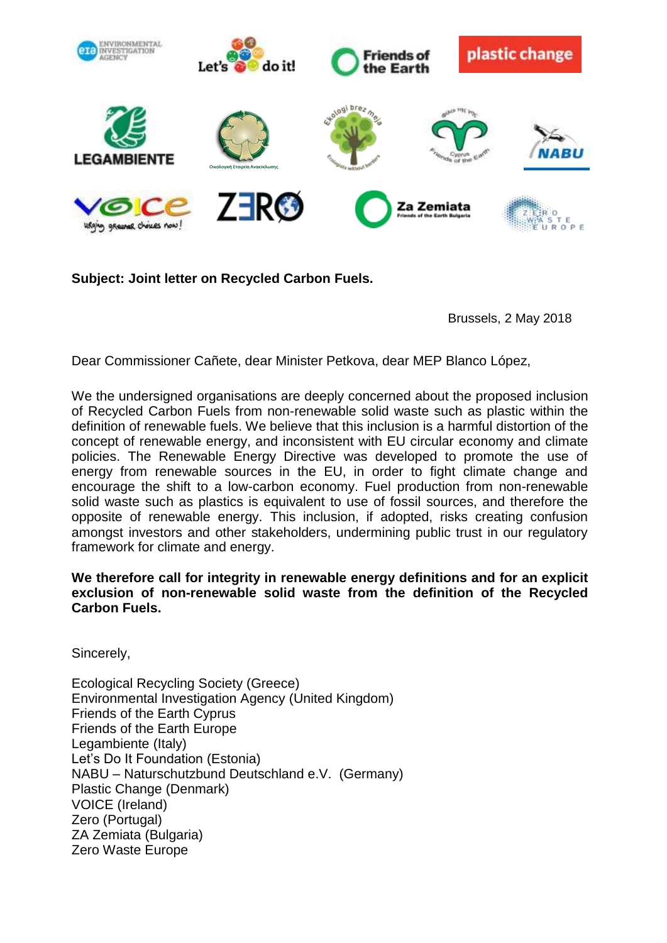

**Subject: Joint letter on Recycled Carbon Fuels.**

Brussels, 2 May 2018

Dear Commissioner Cañete, dear Minister Petkova, dear MEP Blanco López,

We the undersigned organisations are deeply concerned about the proposed inclusion of Recycled Carbon Fuels from non-renewable solid waste such as plastic within the definition of renewable fuels. We believe that this inclusion is a harmful distortion of the concept of renewable energy, and inconsistent with EU circular economy and climate policies. The Renewable Energy Directive was developed to promote the use of energy from renewable sources in the EU, in order to fight climate change and encourage the shift to a low-carbon economy. Fuel production from non-renewable solid waste such as plastics is equivalent to use of fossil sources, and therefore the opposite of renewable energy. This inclusion, if adopted, risks creating confusion amongst investors and other stakeholders, undermining public trust in our regulatory framework for climate and energy.

## **We therefore call for integrity in renewable energy definitions and for an explicit exclusion of non-renewable solid waste from the definition of the Recycled Carbon Fuels.**

Sincerely,

Ecological Recycling Society (Greece) Environmental Investigation Agency (United Kingdom) Friends of the Earth Cyprus Friends of the Earth Europe Legambiente (Italy) Let's Do It Foundation (Estonia) NABU – Naturschutzbund Deutschland e.V. (Germany) Plastic Change (Denmark) VOICE (Ireland) Zero (Portugal) ZA Zemiata (Bulgaria) Zero Waste Europe